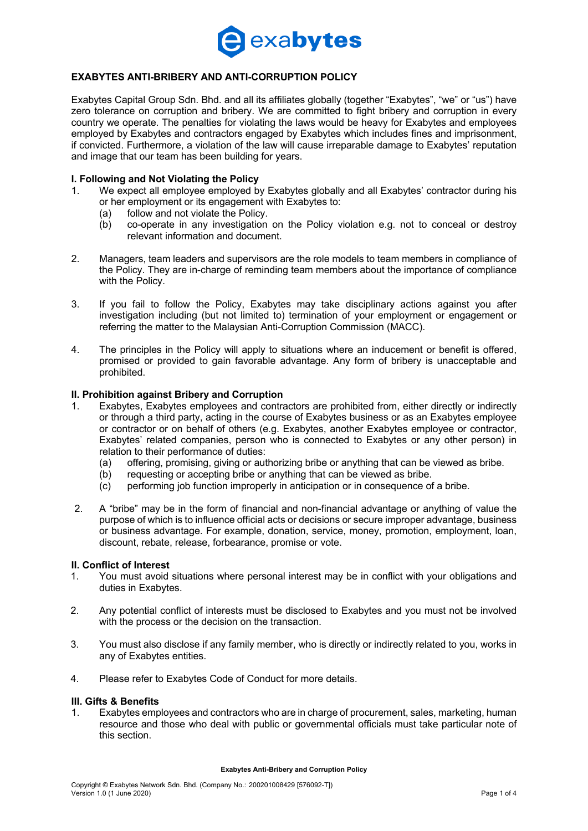

## **EXABYTES ANTI-BRIBERY AND ANTI-CORRUPTION POLICY**

Exabytes Capital Group Sdn. Bhd. and all its affiliates globally (together "Exabytes", "we" or "us") have zero tolerance on corruption and bribery. We are committed to fight bribery and corruption in every country we operate. The penalties for violating the laws would be heavy for Exabytes and employees employed by Exabytes and contractors engaged by Exabytes which includes fines and imprisonment, if convicted. Furthermore, a violation of the law will cause irreparable damage to Exabytes' reputation and image that our team has been building for years.

### **I. Following and Not Violating the Policy**

- 1. We expect all employee employed by Exabytes globally and all Exabytes' contractor during his or her employment or its engagement with Exabytes to:
	- (a) follow and not violate the Policy.
	- (b) co-operate in any investigation on the Policy violation e.g. not to conceal or destroy relevant information and document.
- 2. Managers, team leaders and supervisors are the role models to team members in compliance of the Policy. They are in-charge of reminding team members about the importance of compliance with the Policy.
- 3. If you fail to follow the Policy, Exabytes may take disciplinary actions against you after investigation including (but not limited to) termination of your employment or engagement or referring the matter to the Malaysian Anti-Corruption Commission (MACC).
- 4. The principles in the Policy will apply to situations where an inducement or benefit is offered, promised or provided to gain favorable advantage. Any form of bribery is unacceptable and prohibited.

## **II. Prohibition against Bribery and Corruption**

- 1. Exabytes, Exabytes employees and contractors are prohibited from, either directly or indirectly or through a third party, acting in the course of Exabytes business or as an Exabytes employee or contractor or on behalf of others (e.g. Exabytes, another Exabytes employee or contractor, Exabytes' related companies, person who is connected to Exabytes or any other person) in relation to their performance of duties:
	- (a) offering, promising, giving or authorizing bribe or anything that can be viewed as bribe.
	- (b) requesting or accepting bribe or anything that can be viewed as bribe.
	- (c) performing job function improperly in anticipation or in consequence of a bribe.
- 2. A "bribe" may be in the form of financial and non-financial advantage or anything of value the purpose of which is to influence official acts or decisions or secure improper advantage, business or business advantage. For example, donation, service, money, promotion, employment, loan, discount, rebate, release, forbearance, promise or vote.

#### **II. Conflict of Interest**

- 1. You must avoid situations where personal interest may be in conflict with your obligations and duties in Exabytes.
- 2. Any potential conflict of interests must be disclosed to Exabytes and you must not be involved with the process or the decision on the transaction.
- 3. You must also disclose if any family member, who is directly or indirectly related to you, works in any of Exabytes entities.
- 4. Please refer to Exabytes Code of Conduct for more details.

#### **III. Gifts & Benefits**

1. Exabytes employees and contractors who are in charge of procurement, sales, marketing, human resource and those who deal with public or governmental officials must take particular note of this section.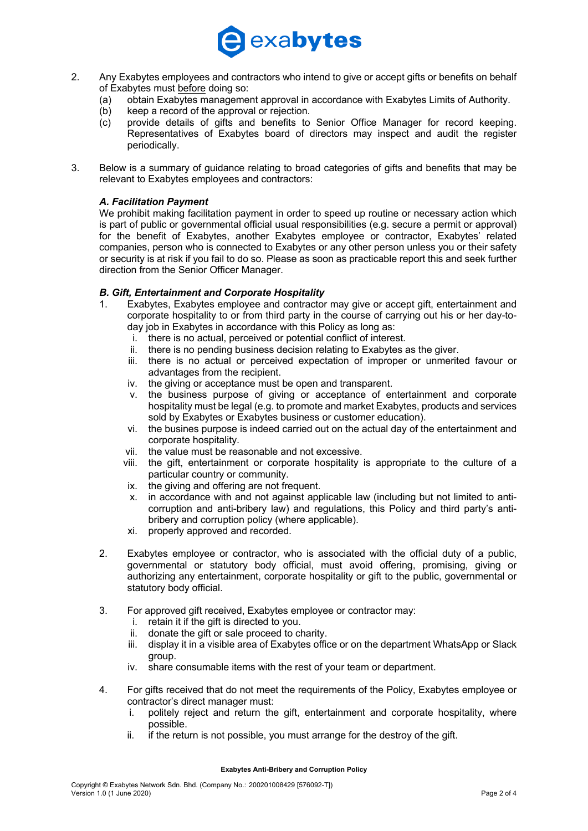

- 2. Any Exabytes employees and contractors who intend to give or accept gifts or benefits on behalf of Exabytes must before doing so:
	- (a) obtain Exabytes management approval in accordance with Exabytes Limits of Authority.
	- (b) keep a record of the approval or rejection.
	- (c) provide details of gifts and benefits to Senior Office Manager for record keeping. Representatives of Exabytes board of directors may inspect and audit the register periodically.
- 3. Below is a summary of guidance relating to broad categories of gifts and benefits that may be relevant to Exabytes employees and contractors:

## *A. Facilitation Payment*

We prohibit making facilitation payment in order to speed up routine or necessary action which is part of public or governmental official usual responsibilities (e.g. secure a permit or approval) for the benefit of Exabytes, another Exabytes employee or contractor, Exabytes' related companies, person who is connected to Exabytes or any other person unless you or their safety or security is at risk if you fail to do so. Please as soon as practicable report this and seek further direction from the Senior Officer Manager.

## *B. Gift, Entertainment and Corporate Hospitality*

- 1. Exabytes, Exabytes employee and contractor may give or accept gift, entertainment and corporate hospitality to or from third party in the course of carrying out his or her day-today job in Exabytes in accordance with this Policy as long as:
	- i. there is no actual, perceived or potential conflict of interest.
	- ii. there is no pending business decision relating to Exabytes as the giver.
	- iii. there is no actual or perceived expectation of improper or unmerited favour or advantages from the recipient.
	- iv. the giving or acceptance must be open and transparent.
	- v. the business purpose of giving or acceptance of entertainment and corporate hospitality must be legal (e.g. to promote and market Exabytes, products and services sold by Exabytes or Exabytes business or customer education).
	- vi. the busines purpose is indeed carried out on the actual day of the entertainment and corporate hospitality.
	- vii. the value must be reasonable and not excessive.
	- viii. the gift, entertainment or corporate hospitality is appropriate to the culture of a particular country or community.
	- ix. the giving and offering are not frequent.
	- x. in accordance with and not against applicable law (including but not limited to anticorruption and anti-bribery law) and regulations, this Policy and third party's antibribery and corruption policy (where applicable).
	- xi. properly approved and recorded.
- 2. Exabytes employee or contractor, who is associated with the official duty of a public, governmental or statutory body official, must avoid offering, promising, giving or authorizing any entertainment, corporate hospitality or gift to the public, governmental or statutory body official.
- 3. For approved gift received, Exabytes employee or contractor may:
	- i. retain it if the gift is directed to you.
	- ii. donate the gift or sale proceed to charity.
	- iii. display it in a visible area of Exabytes office or on the department WhatsApp or Slack group.
	- iv. share consumable items with the rest of your team or department.
- 4. For gifts received that do not meet the requirements of the Policy, Exabytes employee or contractor's direct manager must:
	- i. politely reject and return the gift, entertainment and corporate hospitality, where possible.
	- ii. if the return is not possible, you must arrange for the destroy of the gift.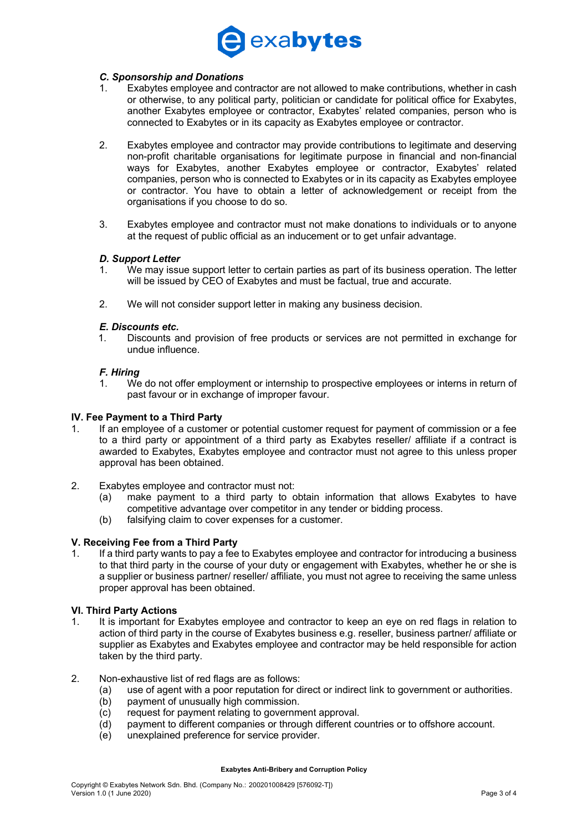# exabytes

#### *C. Sponsorship and Donations*

- Exabytes employee and contractor are not allowed to make contributions, whether in cash or otherwise, to any political party, politician or candidate for political office for Exabytes, another Exabytes employee or contractor, Exabytes' related companies, person who is connected to Exabytes or in its capacity as Exabytes employee or contractor.
- 2. Exabytes employee and contractor may provide contributions to legitimate and deserving non-profit charitable organisations for legitimate purpose in financial and non-financial ways for Exabytes, another Exabytes employee or contractor, Exabytes' related companies, person who is connected to Exabytes or in its capacity as Exabytes employee or contractor. You have to obtain a letter of acknowledgement or receipt from the organisations if you choose to do so.
- 3. Exabytes employee and contractor must not make donations to individuals or to anyone at the request of public official as an inducement or to get unfair advantage.

#### *D. Support Letter*

- 1. We may issue support letter to certain parties as part of its business operation. The letter will be issued by CEO of Exabytes and must be factual, true and accurate.
- 2. We will not consider support letter in making any business decision.

#### *E. Discounts etc.*

1. Discounts and provision of free products or services are not permitted in exchange for undue influence.

### *F. Hiring*

1. We do not offer employment or internship to prospective employees or interns in return of past favour or in exchange of improper favour.

#### **IV. Fee Payment to a Third Party**

- 1. If an employee of a customer or potential customer request for payment of commission or a fee to a third party or appointment of a third party as Exabytes reseller/ affiliate if a contract is awarded to Exabytes, Exabytes employee and contractor must not agree to this unless proper approval has been obtained.
- 2. Exabytes employee and contractor must not:
	- (a) make payment to a third party to obtain information that allows Exabytes to have competitive advantage over competitor in any tender or bidding process.
	- (b) falsifying claim to cover expenses for a customer.

#### **V. Receiving Fee from a Third Party**

1. If a third party wants to pay a fee to Exabytes employee and contractor for introducing a business to that third party in the course of your duty or engagement with Exabytes, whether he or she is a supplier or business partner/ reseller/ affiliate, you must not agree to receiving the same unless proper approval has been obtained.

### **VI. Third Party Actions**

- 1. It is important for Exabytes employee and contractor to keep an eye on red flags in relation to action of third party in the course of Exabytes business e.g. reseller, business partner/ affiliate or supplier as Exabytes and Exabytes employee and contractor may be held responsible for action taken by the third party.
- 2. Non-exhaustive list of red flags are as follows:
	- (a) use of agent with a poor reputation for direct or indirect link to government or authorities.
	- (b) payment of unusually high commission.
	- (c) request for payment relating to government approval.
	- (d) payment to different companies or through different countries or to offshore account.
	- (e) unexplained preference for service provider.

#### **Exabytes Anti-Bribery and Corruption Policy**